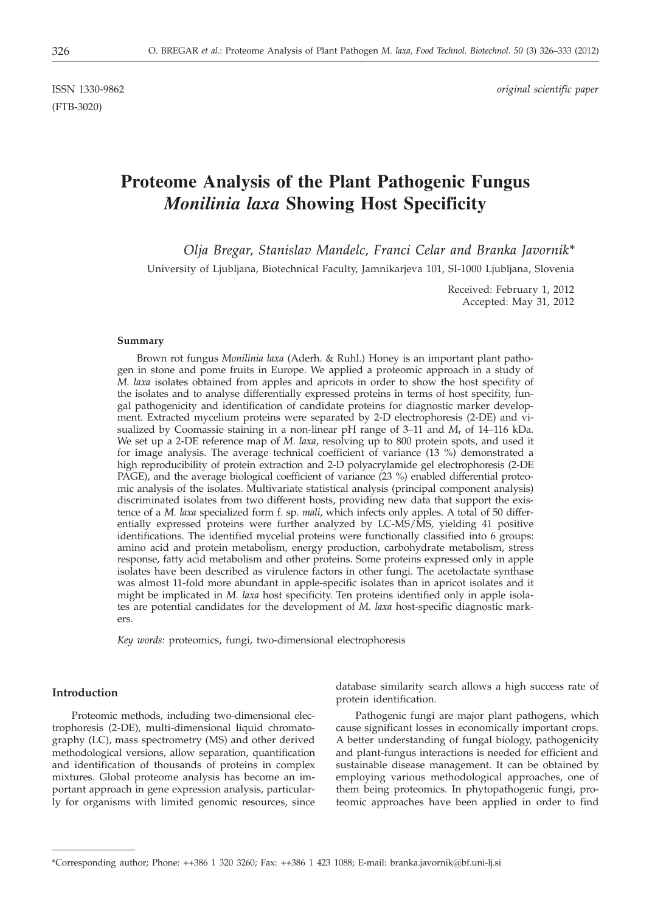(FTB-3020)

ISSN 1330-9862 *original scientific paper*

# **Proteome Analysis of the Plant Pathogenic Fungus** *Monilinia laxa* **Showing Host Specificity**

*Olja Bregar, Stanislav Mandelc, Franci Celar and Branka Javornik\**

University of Ljubljana, Biotechnical Faculty, Jamnikarjeva 101, SI-1000 Ljubljana, Slovenia

Received: February 1, 2012 Accepted: May 31, 2012

#### **Summary**

Brown rot fungus *Monilinia laxa* (Aderh. & Ruhl.) Honey is an important plant pathogen in stone and pome fruits in Europe. We applied a proteomic approach in a study of *M. laxa* isolates obtained from apples and apricots in order to show the host specifity of the isolates and to analyse differentially expressed proteins in terms of host specifity, fungal pathogenicity and identification of candidate proteins for diagnostic marker development. Extracted mycelium proteins were separated by 2-D electrophoresis (2-DE) and visualized by Coomassie staining in a non-linear pH range of  $3-11$  and  $M_r$  of  $14-116$  kDa. We set up a 2-DE reference map of *M. laxa*, resolving up to 800 protein spots, and used it for image analysis. The average technical coefficient of variance  $(13 \%)$  demonstrated a high reproducibility of protein extraction and 2-D polyacrylamide gel electrophoresis (2-DE PAGE), and the average biological coefficient of variance (23 %) enabled differential proteomic analysis of the isolates. Multivariate statistical analysis (principal component analysis) discriminated isolates from two different hosts, providing new data that support the existence of a *M. laxa* specialized form f. sp*. mali*, which infects only apples. A total of 50 differentially expressed proteins were further analyzed by LC-MS/MS, yielding 41 positive identifications. The identified mycelial proteins were functionally classified into 6 groups: amino acid and protein metabolism, energy production, carbohydrate metabolism, stress response, fatty acid metabolism and other proteins. Some proteins expressed only in apple isolates have been described as virulence factors in other fungi. The acetolactate synthase was almost 11-fold more abundant in apple-specific isolates than in apricot isolates and it might be implicated in *M. laxa* host specificity. Ten proteins identified only in apple isolates are potential candidates for the development of *M. laxa* host-specific diagnostic markers.

*Key words*: proteomics, fungi, two-dimensional electrophoresis

## **Introduction**

Proteomic methods, including two-dimensional electrophoresis (2-DE), multi-dimensional liquid chromatography (LC), mass spectrometry (MS) and other derived methodological versions, allow separation, quantification and identification of thousands of proteins in complex mixtures. Global proteome analysis has become an important approach in gene expression analysis, particularly for organisms with limited genomic resources, since

database similarity search allows a high success rate of protein identification.

Pathogenic fungi are major plant pathogens, which cause significant losses in economically important crops. A better understanding of fungal biology, pathogenicity and plant-fungus interactions is needed for efficient and sustainable disease management. It can be obtained by employing various methodological approaches, one of them being proteomics. In phytopathogenic fungi, proteomic approaches have been applied in order to find

<sup>\*</sup>Corresponding author; Phone: ++386 1 320 3260; Fax: ++386 1 423 1088; E-mail: branka.javornik@bf.uni-lj.si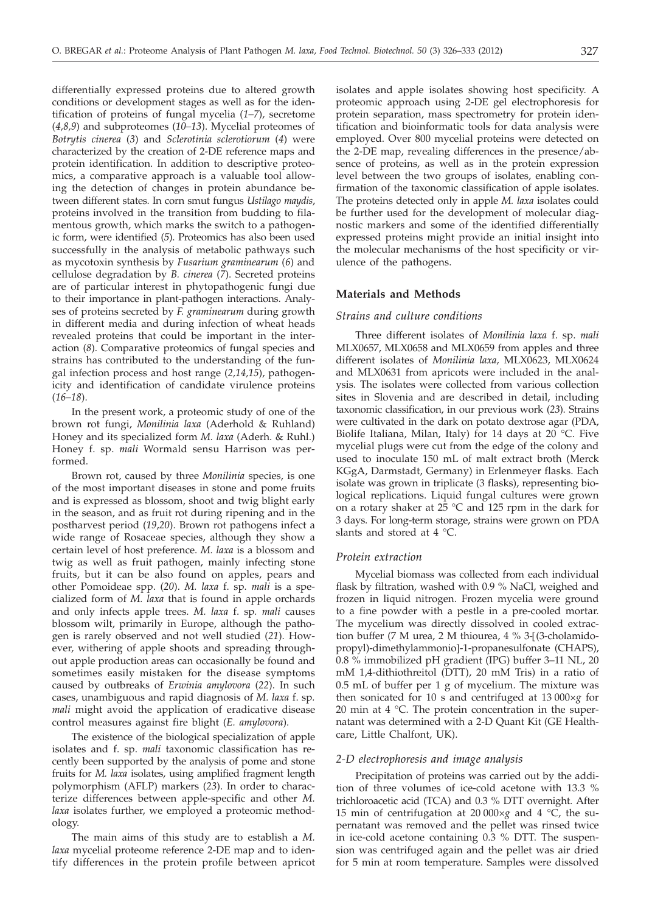differentially expressed proteins due to altered growth conditions or development stages as well as for the identification of proteins of fungal mycelia (*1–7*), secretome (*4,8,9*) and subproteomes (*10–13*). Mycelial proteomes of *Botrytis cinerea* (*3*) and *Sclerotinia sclerotiorum* (*4*) were characterized by the creation of 2-DE reference maps and protein identification. In addition to descriptive proteomics, a comparative approach is a valuable tool allowing the detection of changes in protein abundance between different states. In corn smut fungus *Ustilago maydis*, proteins involved in the transition from budding to filamentous growth, which marks the switch to a pathogenic form, were identified (*5*). Proteomics has also been used successfully in the analysis of metabolic pathways such as mycotoxin synthesis by *Fusarium graminearum* (*6*) and cellulose degradation by *B. cinerea* (*7*). Secreted proteins are of particular interest in phytopathogenic fungi due to their importance in plant-pathogen interactions. Analyses of proteins secreted by *F. graminearum* during growth in different media and during infection of wheat heads revealed proteins that could be important in the interaction (*8*). Comparative proteomics of fungal species and strains has contributed to the understanding of the fungal infection process and host range (*2,14,15*), pathogenicity and identification of candidate virulence proteins (*16–18*).

In the present work, a proteomic study of one of the brown rot fungi, *Monilinia laxa* (Aderhold & Ruhland) Honey and its specialized form *M. laxa* (Aderh. & Ruhl.) Honey f. sp. *mali* Wormald sensu Harrison was performed.

Brown rot, caused by three *Monilinia* species, is one of the most important diseases in stone and pome fruits and is expressed as blossom, shoot and twig blight early in the season, and as fruit rot during ripening and in the postharvest period (*19*,*20*). Brown rot pathogens infect a wide range of Rosaceae species, although they show a certain level of host preference. *M. laxa* is a blossom and twig as well as fruit pathogen, mainly infecting stone fruits, but it can be also found on apples, pears and other Pomoideae spp. (*20*). *M. laxa* f. sp*. mali* is a specialized form of *M. laxa* that is found in apple orchards and only infects apple trees. *M. laxa* f. sp*. mali* causes blossom wilt, primarily in Europe, although the pathogen is rarely observed and not well studied (*21*). However, withering of apple shoots and spreading throughout apple production areas can occasionally be found and sometimes easily mistaken for the disease symptoms caused by outbreaks of *Erwinia amylovora* (*22*). In such cases, unambiguous and rapid diagnosis of *M. laxa* f. sp*. mali* might avoid the application of eradicative disease control measures against fire blight (*E. amylovora*)*.*

The existence of the biological specialization of apple isolates and f. sp. *mali* taxonomic classification has recently been supported by the analysis of pome and stone fruits for *M. laxa* isolates, using amplified fragment length polymorphism (AFLP) markers (*23*). In order to characterize differences between apple-specific and other *M. laxa* isolates further, we employed a proteomic methodology.

The main aims of this study are to establish a *M. laxa* mycelial proteome reference 2-DE map and to identify differences in the protein profile between apricot isolates and apple isolates showing host specificity. A proteomic approach using 2-DE gel electrophoresis for protein separation, mass spectrometry for protein identification and bioinformatic tools for data analysis were employed. Over 800 mycelial proteins were detected on the 2-DE map, revealing differences in the presence/absence of proteins, as well as in the protein expression level between the two groups of isolates, enabling confirmation of the taxonomic classification of apple isolates. The proteins detected only in apple *M. laxa* isolates could be further used for the development of molecular diagnostic markers and some of the identified differentially expressed proteins might provide an initial insight into the molecular mechanisms of the host specificity or virulence of the pathogens.

# **Materials and Methods**

# *Strains and culture conditions*

Three different isolates of *Monilinia laxa* f. sp. *mali* MLX0657, MLX0658 and MLX0659 from apples and three different isolates of *Monilinia laxa,* MLX0623, MLX0624 and MLX0631 from apricots were included in the analysis. The isolates were collected from various collection sites in Slovenia and are described in detail, including taxonomic classification, in our previous work (*23*). Strains were cultivated in the dark on potato dextrose agar (PDA, Biolife Italiana, Milan, Italy) for 14 days at 20 °C. Five mycelial plugs were cut from the edge of the colony and used to inoculate 150 mL of malt extract broth (Merck KGgA, Darmstadt, Germany) in Erlenmeyer flasks. Each isolate was grown in triplicate (3 flasks), representing biological replications. Liquid fungal cultures were grown on a rotary shaker at 25 °C and 125 rpm in the dark for 3 days. For long-term storage, strains were grown on PDA slants and stored at 4 °C.

## *Protein extraction*

Mycelial biomass was collected from each individual flask by filtration, washed with 0.9 % NaCl, weighed and frozen in liquid nitrogen. Frozen mycelia were ground to a fine powder with a pestle in a pre-cooled mortar. The mycelium was directly dissolved in cooled extraction buffer (7 M urea, 2 M thiourea, 4 % 3-[(3-cholamidopropyl)-dimethylammonio]-1-propanesulfonate (CHAPS), 0.8 % immobilized pH gradient (IPG) buffer 3–11 NL, 20 mM 1,4-dithiothreitol (DTT), 20 mM Tris) in a ratio of 0.5 mL of buffer per 1 g of mycelium. The mixture was then sonicated for 10 s and centrifuged at 13 000×*g* for 20 min at 4 °C. The protein concentration in the supernatant was determined with a 2-D Quant Kit (GE Healthcare, Little Chalfont, UK).

#### *2-D electrophoresis and image analysis*

Precipitation of proteins was carried out by the addition of three volumes of ice-cold acetone with 13.3 % trichloroacetic acid (TCA) and 0.3 % DTT overnight. After 15 min of centrifugation at 20 000×*g* and 4 °C, the supernatant was removed and the pellet was rinsed twice in ice-cold acetone containing 0.3 % DTT. The suspension was centrifuged again and the pellet was air dried for 5 min at room temperature. Samples were dissolved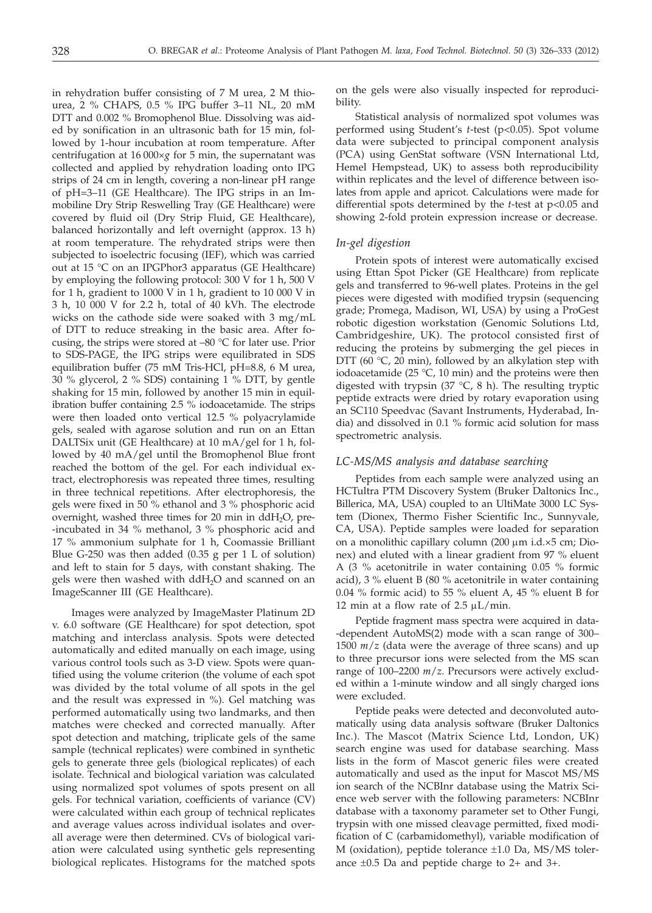in rehydration buffer consisting of 7 M urea, 2 M thiourea, 2 % CHAPS, 0.5 % IPG buffer 3–11 NL, 20 mM DTT and 0.002 % Bromophenol Blue. Dissolving was aided by sonification in an ultrasonic bath for 15 min, followed by 1-hour incubation at room temperature. After centrifugation at 16 000×*g* for 5 min, the supernatant was collected and applied by rehydration loading onto IPG strips of 24 cm in length, covering a non-linear pH range of pH=3–11 (GE Healthcare). The IPG strips in an Immobiline Dry Strip Reswelling Tray (GE Healthcare) were covered by fluid oil (Dry Strip Fluid, GE Healthcare), balanced horizontally and left overnight (approx. 13 h) at room temperature. The rehydrated strips were then subjected to isoelectric focusing (IEF), which was carried out at 15 °C on an IPGPhor3 apparatus (GE Healthcare) by employing the following protocol: 300 V for 1 h, 500 V for 1 h, gradient to 1000 V in 1 h, gradient to 10 000 V in 3 h, 10 000 V for 2.2 h, total of 40 kVh. The electrode wicks on the cathode side were soaked with 3 mg/mL of DTT to reduce streaking in the basic area. After focusing, the strips were stored at –80 °C for later use. Prior to SDS-PAGE, the IPG strips were equilibrated in SDS equilibration buffer (75 mM Tris-HCl, pH=8.8, 6 M urea, 30 % glycerol, 2 % SDS) containing 1 % DTT, by gentle shaking for 15 min, followed by another 15 min in equilibration buffer containing 2.5 % iodoacetamide. The strips were then loaded onto vertical 12.5 % polyacrylamide gels, sealed with agarose solution and run on an Ettan DALTSix unit (GE Healthcare) at 10 mA/gel for 1 h, followed by 40 mA/gel until the Bromophenol Blue front reached the bottom of the gel. For each individual extract, electrophoresis was repeated three times, resulting in three technical repetitions. After electrophoresis, the gels were fixed in 50 % ethanol and 3 % phosphoric acid overnight, washed three times for 20 min in  $ddH<sub>2</sub>O$ , pre--incubated in 34 % methanol, 3 % phosphoric acid and 17 % ammonium sulphate for 1 h, Coomassie Brilliant Blue G-250 was then added (0.35 g per 1 L of solution) and left to stain for 5 days, with constant shaking. The gels were then washed with  $ddH_2O$  and scanned on an ImageScanner III (GE Healthcare).

Images were analyzed by ImageMaster Platinum 2D v. 6.0 software (GE Healthcare) for spot detection, spot matching and interclass analysis. Spots were detected automatically and edited manually on each image, using various control tools such as 3-D view. Spots were quantified using the volume criterion (the volume of each spot was divided by the total volume of all spots in the gel and the result was expressed in %). Gel matching was performed automatically using two landmarks, and then matches were checked and corrected manually. After spot detection and matching, triplicate gels of the same sample (technical replicates) were combined in synthetic gels to generate three gels (biological replicates) of each isolate. Technical and biological variation was calculated using normalized spot volumes of spots present on all gels. For technical variation, coefficients of variance (CV) were calculated within each group of technical replicates and average values across individual isolates and overall average were then determined. CVs of biological variation were calculated using synthetic gels representing biological replicates. Histograms for the matched spots

on the gels were also visually inspected for reproducibility.

Statistical analysis of normalized spot volumes was performed using Student's *t*-test (p<0.05). Spot volume data were subjected to principal component analysis (PCA) using GenStat software (VSN International Ltd, Hemel Hempstead, UK) to assess both reproducibility within replicates and the level of difference between isolates from apple and apricot. Calculations were made for differential spots determined by the *t*-test at p<0.05 and showing 2-fold protein expression increase or decrease.

## *In-gel digestion*

Protein spots of interest were automatically excised using Ettan Spot Picker (GE Healthcare) from replicate gels and transferred to 96-well plates. Proteins in the gel pieces were digested with modified trypsin (sequencing grade; Promega, Madison, WI, USA) by using a ProGest robotic digestion workstation (Genomic Solutions Ltd, Cambridgeshire, UK). The protocol consisted first of reducing the proteins by submerging the gel pieces in DTT (60 °C, 20 min), followed by an alkylation step with iodoacetamide (25  $\degree$ C, 10 min) and the proteins were then digested with trypsin  $(37 \text{ °C}, 8 \text{ h})$ . The resulting tryptic peptide extracts were dried by rotary evaporation using an SC110 Speedvac (Savant Instruments, Hyderabad, India) and dissolved in 0.1 % formic acid solution for mass spectrometric analysis.

#### *LC-MS/MS analysis and database searching*

Peptides from each sample were analyzed using an HCTultra PTM Discovery System (Bruker Daltonics Inc., Billerica, MA, USA) coupled to an UltiMate 3000 LC System (Dionex, Thermo Fisher Scientific Inc., Sunnyvale, CA, USA). Peptide samples were loaded for separation on a monolithic capillary column (200 µm i.d.×5 cm; Dionex) and eluted with a linear gradient from 97 % eluent A (3 % acetonitrile in water containing 0.05 % formic acid), 3 % eluent B (80 % acetonitrile in water containing 0.04 % formic acid) to 55 % eluent A, 45 % eluent B for 12 min at a flow rate of  $2.5 \mu L/min$ .

Peptide fragment mass spectra were acquired in data- -dependent AutoMS(2) mode with a scan range of 300– 1500 *m*/*z* (data were the average of three scans) and up to three precursor ions were selected from the MS scan range of 100–2200 *m*/*z*. Precursors were actively excluded within a 1-minute window and all singly charged ions were excluded.

Peptide peaks were detected and deconvoluted automatically using data analysis software (Bruker Daltonics Inc.). The Mascot (Matrix Science Ltd, London, UK) search engine was used for database searching. Mass lists in the form of Mascot generic files were created automatically and used as the input for Mascot MS/MS ion search of the NCBInr database using the Matrix Science web server with the following parameters: NCBInr database with a taxonomy parameter set to Other Fungi, trypsin with one missed cleavage permitted, fixed modification of C (carbamidomethyl), variable modification of M (oxidation), peptide tolerance ±1.0 Da, MS/MS tolerance  $\pm 0.5$  Da and peptide charge to 2+ and 3+.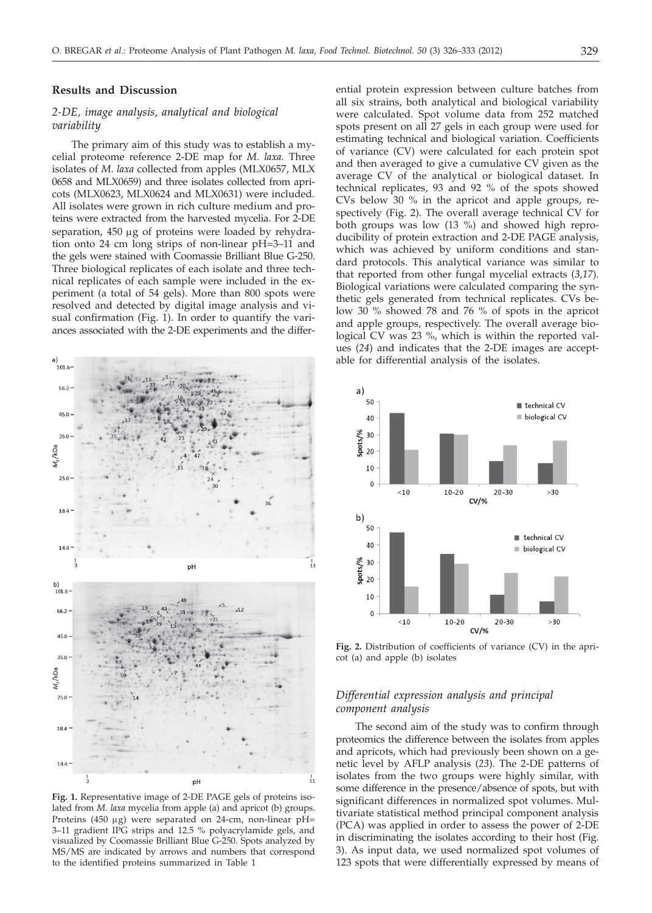#### **Results and Discussion**

# *2-DE, image analysis, analytical and biological variability*

The primary aim of this study was to establish a mycelial proteome reference 2-DE map for *M. laxa.* Three isolates of *M. laxa* collected from apples (MLX0657, MLX 0658 and MLX0659) and three isolates collected from apricots (MLX0623, MLX0624 and MLX0631) were included. All isolates were grown in rich culture medium and proteins were extracted from the harvested mycelia. For 2-DE separation, 450 µg of proteins were loaded by rehydration onto 24 cm long strips of non-linear pH=3–11 and the gels were stained with Coomassie Brilliant Blue G-250. Three biological replicates of each isolate and three technical replicates of each sample were included in the experiment (a total of 54 gels). More than 800 spots were resolved and detected by digital image analysis and visual confirmation (Fig. 1). In order to quantify the variances associated with the 2-DE experiments and the differ-



**Fig. 1.** Representative image of 2-DE PAGE gels of proteins isolated from *M. laxa* mycelia from apple (a) and apricot (b) groups. Proteins (450 µg) were separated on 24-cm, non-linear pH= 3–11 gradient IPG strips and 12.5 % polyacrylamide gels, and visualized by Coomassie Brilliant Blue G-250. Spots analyzed by MS/MS are indicated by arrows and numbers that correspond to the identified proteins summarized in Table 1

ential protein expression between culture batches from all six strains, both analytical and biological variability were calculated. Spot volume data from 252 matched spots present on all 27 gels in each group were used for estimating technical and biological variation. Coefficients of variance (CV) were calculated for each protein spot and then averaged to give a cumulative CV given as the average CV of the analytical or biological dataset. In technical replicates, 93 and 92 % of the spots showed CVs below 30 % in the apricot and apple groups, respectively (Fig. 2). The overall average technical CV for both groups was low (13 %) and showed high reproducibility of protein extraction and 2-DE PAGE analysis, which was achieved by uniform conditions and standard protocols. This analytical variance was similar to that reported from other fungal mycelial extracts (*3,17*). Biological variations were calculated comparing the synthetic gels generated from technical replicates. CVs below 30 % showed 78 and 76 % of spots in the apricot and apple groups, respectively. The overall average biological CV was 23 %, which is within the reported values (*24*) and indicates that the 2-DE images are acceptable for differential analysis of the isolates.



**Fig. 2.** Distribution of coefficients of variance (CV) in the apricot (a) and apple (b) isolates

# *Differential expression analysis and principal component analysis*

The second aim of the study was to confirm through proteomics the difference between the isolates from apples and apricots, which had previously been shown on a genetic level by AFLP analysis (*23*). The 2-DE patterns of isolates from the two groups were highly similar, with some difference in the presence/absence of spots, but with significant differences in normalized spot volumes. Multivariate statistical method principal component analysis (PCA) was applied in order to assess the power of 2-DE in discriminating the isolates according to their host (Fig. 3). As input data, we used normalized spot volumes of 123 spots that were differentially expressed by means of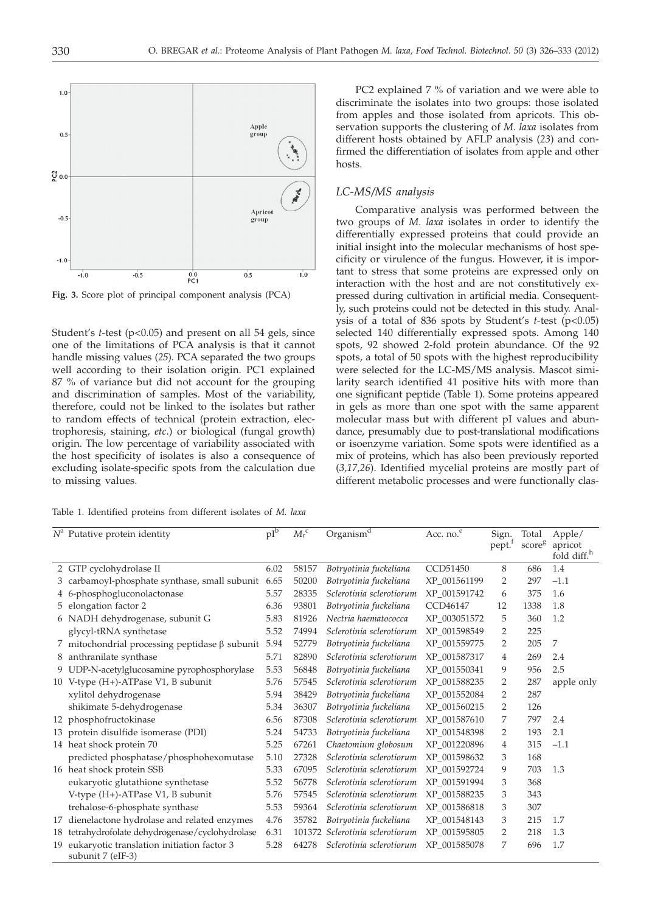

**Fig. 3.** Score plot of principal component analysis (PCA)

Student's *t*-test (p<0.05) and present on all 54 gels, since one of the limitations of PCA analysis is that it cannot handle missing values (*25*). PCA separated the two groups well according to their isolation origin. PC1 explained 87 % of variance but did not account for the grouping and discrimination of samples. Most of the variability, therefore, could not be linked to the isolates but rather to random effects of technical (protein extraction, electrophoresis, staining, *etc*.) or biological (fungal growth) origin. The low percentage of variability associated with the host specificity of isolates is also a consequence of excluding isolate-specific spots from the calculation due to missing values.

Table 1. Identified proteins from different isolates of *M. laxa*

PC2 explained 7 % of variation and we were able to discriminate the isolates into two groups: those isolated from apples and those isolated from apricots. This observation supports the clustering of *M. laxa* isolates from different hosts obtained by AFLP analysis (*23*) and confirmed the differentiation of isolates from apple and other hosts.

# *LC-MS/MS analysis*

Comparative analysis was performed between the two groups of *M. laxa* isolates in order to identify the differentially expressed proteins that could provide an initial insight into the molecular mechanisms of host specificity or virulence of the fungus. However, it is important to stress that some proteins are expressed only on interaction with the host and are not constitutively expressed during cultivation in artificial media. Consequently, such proteins could not be detected in this study. Analysis of a total of 836 spots by Student's *t*-test (p<0.05) selected 140 differentially expressed spots. Among 140 spots, 92 showed 2-fold protein abundance. Of the 92 spots, a total of 50 spots with the highest reproducibility were selected for the LC-MS/MS analysis. Mascot similarity search identified 41 positive hits with more than one significant peptide (Table 1). Some proteins appeared in gels as more than one spot with the same apparent molecular mass but with different pI values and abundance, presumably due to post-translational modifications or isoenzyme variation. Some spots were identified as a mix of proteins, which has also been previously reported (*3,17,26*). Identified mycelial proteins are mostly part of different metabolic processes and were functionally clas-

|    | $N^a$ Putative protein identity                                 | $pI^b$ | ${M_{\rm r}}^{\rm c}$ | Organism <sup>d</sup>           | Acc. no. <sup>e</sup> | Sign.<br>pept. <sup>†</sup> | Total<br>scoreg | Apple/<br>apricot<br>fold diff. <sup>h</sup> |
|----|-----------------------------------------------------------------|--------|-----------------------|---------------------------------|-----------------------|-----------------------------|-----------------|----------------------------------------------|
|    | 2 GTP cyclohydrolase II                                         | 6.02   | 58157                 | Botryotinia fuckeliana          | CCD51450              | 8                           | 686             | 1.4                                          |
|    | 3 carbamoyl-phosphate synthase, small subunit 6.65              |        | 50200                 | Botryotinia fuckeliana          | XP 001561199          | $\overline{2}$              | 297             | $-1.1$                                       |
|    | 4 6-phosphogluconolactonase                                     | 5.57   | 28335                 | Sclerotinia sclerotiorum        | XP 001591742          | 6                           | 375             | 1.6                                          |
|    | 5 elongation factor 2                                           | 6.36   | 93801                 | Botryotinia fuckeliana          | CCD46147              | 12                          | 1338            | 1.8                                          |
|    | 6 NADH dehydrogenase, subunit G                                 | 5.83   | 81926                 | Nectria haematococca            | XP 003051572          | 5                           | 360             | 1.2                                          |
|    | glycyl-tRNA synthetase                                          | 5.52   | 74994                 | Sclerotinia sclerotiorum        | XP 001598549          | 2                           | 225             |                                              |
|    | 7 mitochondrial processing peptidase $\beta$ subunit            | 5.94   | 52779                 | Botryotinia fuckeliana          | XP_001559775          | 2                           | 205             | 7                                            |
|    | 8 anthranilate synthase                                         | 5.71   | 82890                 | Sclerotinia sclerotiorum        | XP 001587317          | 4                           | 269             | 2.4                                          |
|    | 9 UDP-N-acetylglucosamine pyrophosphorylase                     | 5.53   | 56848                 | Botryotinia fuckeliana          | XP 001550341          | 9                           | 956             | 2.5                                          |
|    | 10 V-type (H+)-ATPase V1, B subunit                             | 5.76   | 57545                 | Sclerotinia sclerotiorum        | XP 001588235          | 2                           | 287             | apple only                                   |
|    | xylitol dehydrogenase                                           | 5.94   | 38429                 | Botryotinia fuckeliana          | XP 001552084          | 2                           | 287             |                                              |
|    | shikimate 5-dehydrogenase                                       | 5.34   | 36307                 | Botryotinia fuckeliana          | XP 001560215          | 2                           | 126             |                                              |
|    | 12 phosphofructokinase                                          | 6.56   | 87308                 | Sclerotinia sclerotiorum        | XP 001587610          | 7                           | 797             | 2.4                                          |
|    | 13 protein disulfide isomerase (PDI)                            | 5.24   | 54733                 | Botryotinia fuckeliana          | XP 001548398          | 2                           | 193             | 2.1                                          |
|    | 14 heat shock protein 70                                        | 5.25   | 67261                 | Chaetomium globosum             | XP 001220896          | 4                           | 315             | $-1.1$                                       |
|    | predicted phosphatase/phosphohexomutase                         | 5.10   | 27328                 | Sclerotinia sclerotiorum        | XP_001598632          | 3                           | 168             |                                              |
|    | 16 heat shock protein SSB                                       | 5.33   | 67095                 | Sclerotinia sclerotiorum        | XP 001592724          | 9                           | 703             | 1.3                                          |
|    | eukaryotic glutathione synthetase                               | 5.52   | 56778                 | Sclerotinia sclerotiorum        | XP 001591994          | 3                           | 368             |                                              |
|    | V-type (H+)-ATPase V1, B subunit                                | 5.76   | 57545                 | Sclerotinia sclerotiorum        | XP 001588235          | 3                           | 343             |                                              |
|    | trehalose-6-phosphate synthase                                  | 5.53   | 59364                 | Sclerotinia sclerotiorum        | XP 001586818          | 3                           | 307             |                                              |
|    | 17 dienelactone hydrolase and related enzymes                   | 4.76   | 35782                 | Botryotinia fuckeliana          | XP 001548143          | 3                           | 215             | 1.7                                          |
| 18 | tetrahydrofolate dehydrogenase/cyclohydrolase                   | 6.31   |                       | 101372 Sclerotinia sclerotiorum | XP 001595805          | 2                           | 218             | 1.3                                          |
| 19 | eukaryotic translation initiation factor 3<br>subunit 7 (eIF-3) | 5.28   | 64278                 | Sclerotinia sclerotiorum        | XP 001585078          | 7                           | 696             | 1.7                                          |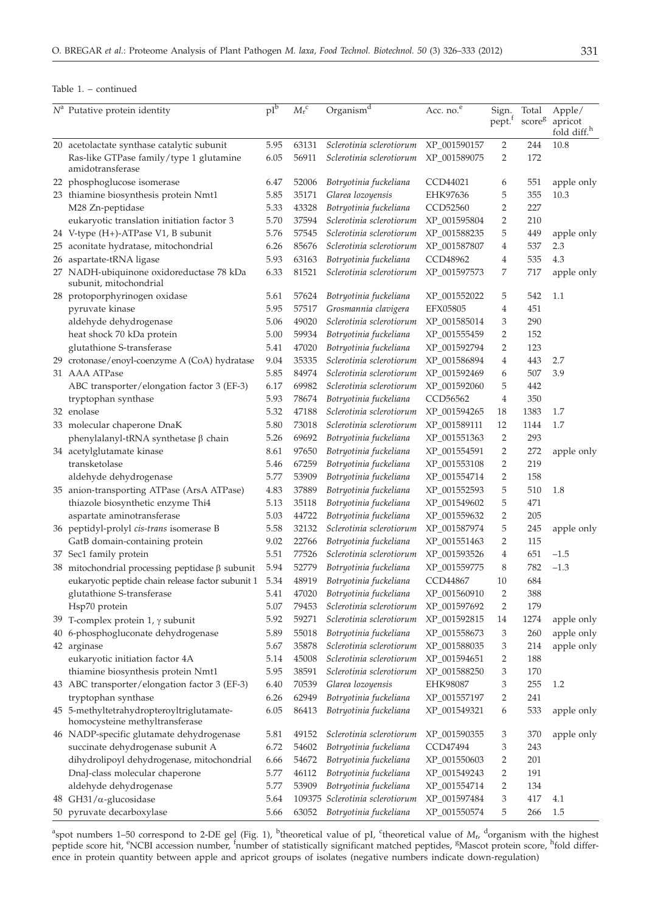| $N^a$ Putative protein identity                                             | $pI^b$ | ${M_{\rm r}}^{\rm c}$ | $Organism^d$                    | Acc. no. <sup>e</sup> | Sign.<br>pept. <sup>f</sup> | Total<br>$\text{score}^g$ | Apple/<br>apricot<br>fold diff. <sup>h</sup> |
|-----------------------------------------------------------------------------|--------|-----------------------|---------------------------------|-----------------------|-----------------------------|---------------------------|----------------------------------------------|
| 20 acetolactate synthase catalytic subunit                                  | 5.95   | 63131                 | Sclerotinia sclerotiorum        | XP_001590157          | $\overline{2}$              | 244                       | 10.8                                         |
| Ras-like GTPase family/type 1 glutamine<br>amidotransferase                 | 6.05   | 56911                 | Sclerotinia sclerotiorum        | XP_001589075          | 2                           | 172                       |                                              |
| 22 phosphoglucose isomerase                                                 | 6.47   | 52006                 | Botryotinia fuckeliana          | CCD44021              | 6                           | 551                       | apple only                                   |
| 23 thiamine biosynthesis protein Nmt1                                       | 5.85   | 35171                 | Glarea lozoyensis               | EHK97636              | 5                           | 355                       | 10.3                                         |
| M28 Zn-peptidase                                                            | 5.33   | 43328                 | Botryotinia fuckeliana          | CCD52560              | $\overline{2}$              | 227                       |                                              |
| eukaryotic translation initiation factor 3                                  | 5.70   | 37594                 | Sclerotinia sclerotiorum        | XP_001595804          | $\overline{2}$              | 210                       |                                              |
| 24 V-type (H+)-ATPase V1, B subunit                                         | 5.76   | 57545                 | Sclerotinia sclerotiorum        | XP_001588235          | 5                           | 449                       | apple only                                   |
| 25 aconitate hydratase, mitochondrial                                       | 6.26   | 85676                 | Sclerotinia sclerotiorum        | XP_001587807          | 4                           | 537                       | 2.3                                          |
| 26 aspartate-tRNA ligase                                                    | 5.93   | 63163                 | Botryotinia fuckeliana          | CCD48962              | $\overline{4}$              | 535                       | 4.3                                          |
| 27 NADH-ubiquinone oxidoreductase 78 kDa<br>subunit, mitochondrial          | 6.33   | 81521                 | Sclerotinia sclerotiorum        | XP_001597573          | 7                           | 717                       | apple only                                   |
| 28 protoporphyrinogen oxidase                                               | 5.61   | 57624                 | Botryotinia fuckeliana          | XP_001552022          | 5                           | 542                       | 1.1                                          |
| pyruvate kinase                                                             | 5.95   | 57517                 | Grosmannia clavigera            | <b>EFX05805</b>       | 4                           | 451                       |                                              |
| aldehyde dehydrogenase                                                      | 5.06   | 49020                 | Sclerotinia sclerotiorum        | XP_001585014          | 3                           | 290                       |                                              |
| heat shock 70 kDa protein                                                   | 5.00   | 59934                 | Botryotinia fuckeliana          | XP 001555459          | $\overline{2}$              | 152                       |                                              |
| glutathione S-transferase                                                   | 5.41   | 47020                 | Botryotinia fuckeliana          | XP_001592794          | $\overline{2}$              | 123                       |                                              |
| 29 crotonase/enoyl-coenzyme A (CoA) hydratase                               | 9.04   | 35335                 | Sclerotinia sclerotiorum        | XP_001586894          | $\overline{4}$              | 443                       | 2.7                                          |
| 31 AAA ATPase                                                               | 5.85   | 84974                 | Sclerotinia sclerotiorum        | XP_001592469          | 6                           | 507                       | 3.9                                          |
| ABC transporter/elongation factor 3 (EF-3)                                  | 6.17   | 69982                 | Sclerotinia sclerotiorum        | XP_001592060          | 5                           | 442                       |                                              |
| tryptophan synthase                                                         | 5.93   | 78674                 | Botryotinia fuckeliana          | CCD56562              | 4                           | 350                       |                                              |
| 32 enolase                                                                  | 5.32   | 47188                 | Sclerotinia sclerotiorum        | XP_001594265          | 18                          | 1383                      | 1.7                                          |
| 33 molecular chaperone DnaK                                                 | 5.80   | 73018                 | Sclerotinia sclerotiorum        | XP_001589111          | 12                          | 1144                      | 1.7                                          |
| phenylalanyl-tRNA synthetase β chain                                        | 5.26   | 69692                 | Botryotinia fuckeliana          | XP_001551363          | $\overline{2}$              | 293                       |                                              |
| 34 acetylglutamate kinase                                                   | 8.61   | 97650                 | Botryotinia fuckeliana          | XP_001554591          | $\overline{2}$              | 272                       | apple only                                   |
| transketolase                                                               | 5.46   | 67259                 | Botryotinia fuckeliana          | XP_001553108          | $\overline{2}$              | 219                       |                                              |
| aldehyde dehydrogenase                                                      | 5.77   | 53909                 | Botryotinia fuckeliana          | XP_001554714          | 2                           | 158                       |                                              |
| 35 anion-transporting ATPase (ArsA ATPase)                                  | 4.83   | 37889                 | Botryotinia fuckeliana          | XP_001552593          | 5                           | 510                       | $1.8\,$                                      |
| thiazole biosynthetic enzyme Thi4                                           | 5.13   | 35118                 | Botryotinia fuckeliana          | XP_001549602          | 5                           | 471                       |                                              |
| aspartate aminotransferase                                                  | 5.03   | 44722                 | Botryotinia fuckeliana          | XP_001559632          | $\overline{2}$              | 205                       |                                              |
| 36 peptidyl-prolyl cis-trans isomerase B                                    | 5.58   | 32132                 | Sclerotinia sclerotiorum        | XP_001587974          | 5                           | 245                       | apple only                                   |
| GatB domain-containing protein                                              | 9.02   | 22766                 | Botryotinia fuckeliana          | XP_001551463          | 2                           | 115                       |                                              |
| 37 Sec1 family protein                                                      | 5.51   | 77526                 | Sclerotinia sclerotiorum        | XP_001593526          | 4                           | 651                       | $-1.5$                                       |
| 38 mitochondrial processing peptidase $\beta$ subunit                       | 5.94   | 52779                 | Botryotinia fuckeliana          | XP_001559775          | 8                           | 782                       | $-1.3$                                       |
| eukaryotic peptide chain release factor subunit 1                           | 5.34   | 48919                 | Botryotinia fuckeliana          | CCD44867              | 10                          | 684                       |                                              |
| glutathione S-transferase                                                   | 5.41   | 47020                 | Botryotinia fuckeliana          | XP_001560910          | $\overline{2}$              | 388                       |                                              |
| Hsp70 protein                                                               | 5.07   | 79453                 | Sclerotinia sclerotiorum        | XP_001597692          | 2                           | 179                       |                                              |
| 39 T-complex protein 1, $\gamma$ subunit                                    | 5.92   | 59271                 | Sclerotinia sclerotiorum        | XP_001592815          | 14                          | 1274                      | apple only                                   |
| 40 6-phosphogluconate dehydrogenase                                         | 5.89   | 55018                 | Botryotinia fuckeliana          | XP_001558673          | 3                           | 260                       | apple only                                   |
| 42 arginase                                                                 | 5.67   | 35878                 | Sclerotinia sclerotiorum        | XP_001588035          | 3                           | 214                       | apple only                                   |
| eukaryotic initiation factor 4A                                             | 5.14   | 45008                 | Sclerotinia sclerotiorum        | XP_001594651          | 2                           | 188                       |                                              |
| thiamine biosynthesis protein Nmt1                                          | 5.95   | 38591                 | Sclerotinia sclerotiorum        | XP_001588250          | 3                           | 170                       |                                              |
| 43 ABC transporter/elongation factor 3 (EF-3)                               | 6.40   | 70539                 | Glarea lozoyensis               | EHK98087              | 3                           | 255                       | 1.2                                          |
| tryptophan synthase                                                         | 6.26   | 62949                 | Botryotinia fuckeliana          | XP_001557197          | 2                           | 241                       |                                              |
| 45 5-methyltetrahydropteroyltriglutamate-<br>homocysteine methyltransferase | 6.05   | 86413                 | Botryotinia fuckeliana          | XP_001549321          | 6                           | 533                       | apple only                                   |
| 46 NADP-specific glutamate dehydrogenase                                    | 5.81   | 49152                 | Sclerotinia sclerotiorum        | XP_001590355          | 3                           | 370                       | apple only                                   |
| succinate dehydrogenase subunit A                                           | 6.72   | 54602                 | Botryotinia fuckeliana          | CCD47494              | 3                           | 243                       |                                              |
| dihydrolipoyl dehydrogenase, mitochondrial                                  | 6.66   | 54672                 | Botryotinia fuckeliana          | XP_001550603          | 2                           | 201                       |                                              |
| DnaJ-class molecular chaperone                                              | 5.77   | 46112                 | Botryotinia fuckeliana          | XP_001549243          | 2                           | 191                       |                                              |
| aldehyde dehydrogenase                                                      | 5.77   | 53909                 | Botryotinia fuckeliana          | XP_001554714          | 2                           | 134                       |                                              |
| 48 GH31/ $\alpha$ -glucosidase                                              | 5.64   |                       | 109375 Sclerotinia sclerotiorum | XP_001597484          | 3                           | 417                       | 4.1                                          |
| 50 pyruvate decarboxylase                                                   | 5.66   | 63052                 | Botryotinia fuckeliana          | XP_001550574          | 5                           | 266                       | 1.5                                          |

<sup>a</sup>spot numbers 1–50 correspond to 2-DE gel (Fig. 1), <sup>b</sup>theoretical value of pI, <sup>c</sup>theoretical value of  $M_{\nu}$  <sup>d</sup>organism with the highest peptide score hit, <sup>e</sup>NCBI accession number, <sup>f</sup>number of statistically signifi ence in protein quantity between apple and apricot groups of isolates (negative numbers indicate down-regulation)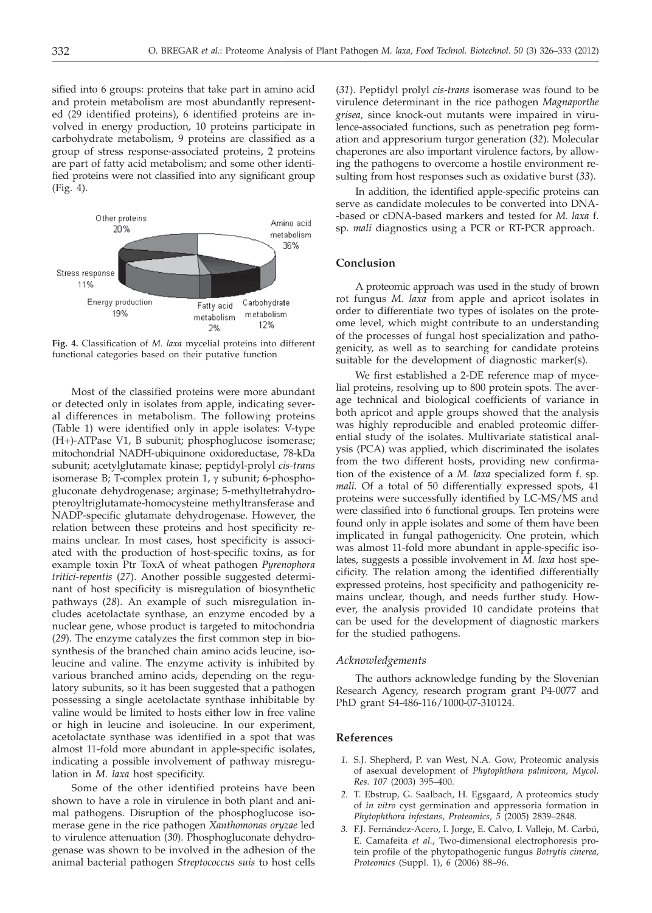sified into 6 groups: proteins that take part in amino acid and protein metabolism are most abundantly represented (29 identified proteins), 6 identified proteins are involved in energy production, 10 proteins participate in carbohydrate metabolism, 9 proteins are classified as a group of stress response-associated proteins, 2 proteins are part of fatty acid metabolism; and some other identified proteins were not classified into any significant group (Fig. 4).



**Fig. 4.** Classification of *M. laxa* mycelial proteins into different functional categories based on their putative function

Most of the classified proteins were more abundant or detected only in isolates from apple, indicating several differences in metabolism. The following proteins (Table 1) were identified only in apple isolates: V-type (H+)-ATPase V1, B subunit; phosphoglucose isomerase; mitochondrial NADH-ubiquinone oxidoreductase, 78-kDa subunit; acetylglutamate kinase; peptidyl-prolyl *cis-trans* isomerase B; T-complex protein 1,  $\gamma$  subunit; 6-phosphogluconate dehydrogenase; arginase; 5-methyltetrahydropteroyltriglutamate-homocysteine methyltransferase and NADP-specific glutamate dehydrogenase. However, the relation between these proteins and host specificity remains unclear. In most cases, host specificity is associated with the production of host-specific toxins, as for example toxin Ptr ToxA of wheat pathogen *Pyrenophora tritici-repentis* (*27*). Another possible suggested determinant of host specificity is misregulation of biosynthetic pathways (*28*). An example of such misregulation includes acetolactate synthase, an enzyme encoded by a nuclear gene, whose product is targeted to mitochondria (*29*). The enzyme catalyzes the first common step in biosynthesis of the branched chain amino acids leucine, isoleucine and valine. The enzyme activity is inhibited by various branched amino acids, depending on the regulatory subunits, so it has been suggested that a pathogen possessing a single acetolactate synthase inhibitable by valine would be limited to hosts either low in free valine or high in leucine and isoleucine. In our experiment, acetolactate synthase was identified in a spot that was almost 11-fold more abundant in apple-specific isolates, indicating a possible involvement of pathway misregulation in *M. laxa* host specificity.

Some of the other identified proteins have been shown to have a role in virulence in both plant and animal pathogens. Disruption of the phosphoglucose isomerase gene in the rice pathogen *Xanthomonas oryzae* led to virulence attenuation (*30*). Phosphogluconate dehydrogenase was shown to be involved in the adhesion of the animal bacterial pathogen *Streptococcus suis* to host cells

(*31*). Peptidyl prolyl *cis-trans* isomerase was found to be virulence determinant in the rice pathogen *Magnaporthe grisea,* since knock-out mutants were impaired in virulence-associated functions, such as penetration peg formation and appresorium turgor generation (*32*). Molecular chaperones are also important virulence factors, by allowing the pathogens to overcome a hostile environment resulting from host responses such as oxidative burst (*33*).

In addition, the identified apple-specific proteins can serve as candidate molecules to be converted into DNA- -based or cDNA-based markers and tested for *M. laxa* f. sp. *mali* diagnostics using a PCR or RT-PCR approach.

## **Conclusion**

A proteomic approach was used in the study of brown rot fungus *M. laxa* from apple and apricot isolates in order to differentiate two types of isolates on the proteome level, which might contribute to an understanding of the processes of fungal host specialization and pathogenicity, as well as to searching for candidate proteins suitable for the development of diagnostic marker(s).

We first established a 2-DE reference map of mycelial proteins, resolving up to 800 protein spots. The average technical and biological coefficients of variance in both apricot and apple groups showed that the analysis was highly reproducible and enabled proteomic differential study of the isolates. Multivariate statistical analysis (PCA) was applied, which discriminated the isolates from the two different hosts, providing new confirmation of the existence of a *M. laxa* specialized form f. sp*. mali.* Of a total of 50 differentially expressed spots, 41 proteins were successfully identified by LC-MS/MS and were classified into 6 functional groups. Ten proteins were found only in apple isolates and some of them have been implicated in fungal pathogenicity. One protein, which was almost 11-fold more abundant in apple-specific isolates, suggests a possible involvement in *M. laxa* host specificity. The relation among the identified differentially expressed proteins, host specificity and pathogenicity remains unclear, though, and needs further study. However, the analysis provided 10 candidate proteins that can be used for the development of diagnostic markers for the studied pathogens.

#### *Acknowledgements*

The authors acknowledge funding by the Slovenian Research Agency, research program grant P4-0077 and PhD grant S4-486-116/1000-07-310124.

## **References**

- *1.* S.J. Shepherd, P. van West, N.A. Gow, Proteomic analysis of asexual development of *Phytophthora palmivora, Mycol. Res. 107* (2003) 395–400.
- *2.* T. Ebstrup, G. Saalbach, H. Egsgaard, A proteomics study of *in vitro* cyst germination and appressoria formation in *Phytophthora infestans*, *Proteomics, 5* (2005) 2839–2848.
- *3.* F.J. Fernández-Acero, I. Jorge, E. Calvo, I. Vallejo, M. Carbú, E. Camafeita *et al.*, Two-dimensional electrophoresis protein profile of the phytopathogenic fungus *Botrytis cinerea, Proteomics* (Suppl. 1), *6* (2006) 88–96.